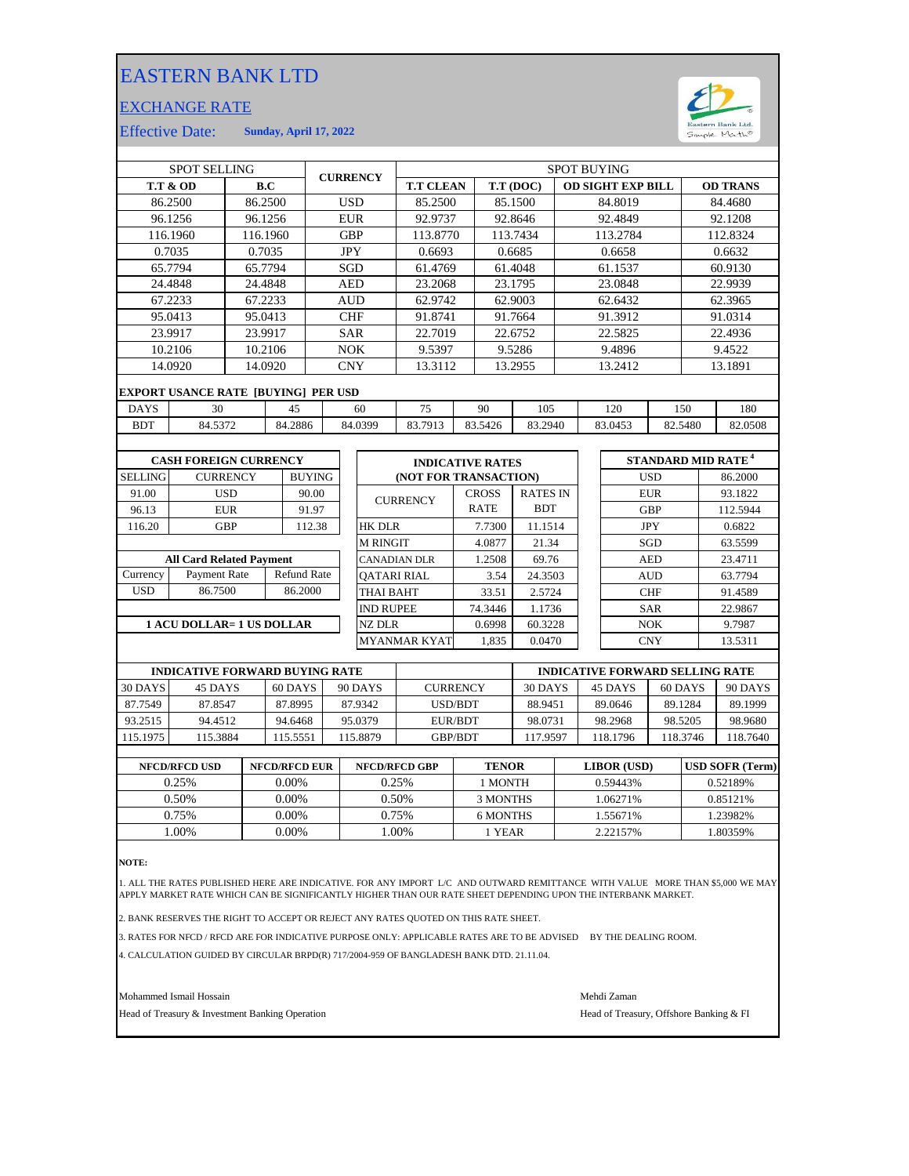## EASTERN BANK LTD

## EXCHANGE RATE



Effective Date: **Sunday, April 17, 2022**

| <b>SPOT SELLING</b>               |                                            |            |               | <b>CURRENCY</b> |            | <b>SPOT BUYING</b> |                            |                                        |                       |                          |                    |                    |                 |            |            |          |                                |
|-----------------------------------|--------------------------------------------|------------|---------------|-----------------|------------|--------------------|----------------------------|----------------------------------------|-----------------------|--------------------------|--------------------|--------------------|-----------------|------------|------------|----------|--------------------------------|
| <b>T.T &amp; OD</b><br>B.C        |                                            |            |               |                 |            |                    | <b>T.T CLEAN</b>           |                                        | T.T (DOC)             | <b>OD SIGHT EXP BILL</b> |                    |                    | <b>OD TRANS</b> |            |            |          |                                |
| 86.2500<br>86.2500                |                                            |            |               | <b>USD</b>      |            |                    | 85.2500                    |                                        | 85.1500               | 84.8019                  |                    |                    |                 |            | 84.4680    |          |                                |
|                                   | 96.1256                                    | 96.1256    |               |                 |            | <b>EUR</b>         |                            | 92.9737                                |                       |                          | 92.8646            |                    |                 | 92.4849    |            |          | 92.1208                        |
|                                   | 116.1960                                   | 116.1960   |               |                 |            | <b>GBP</b>         |                            | 113.8770                               |                       |                          | 113.7434           |                    |                 | 113.2784   |            |          | 112.8324                       |
|                                   | 0.7035                                     | 0.7035     |               |                 |            | <b>JPY</b>         |                            | 0.6693                                 |                       |                          | 0.6685             |                    |                 | 0.6658     |            |          | 0.6632                         |
|                                   | 65.7794                                    |            | 65.7794       |                 | SGD        |                    | 61.4769                    |                                        | 61.4048               |                          |                    | 61.1537            |                 |            |            | 60.9130  |                                |
|                                   | 24.4848                                    |            | 24.4848       |                 | <b>AED</b> |                    |                            | 23.2068                                |                       | 23.1795                  |                    |                    | 23.0848         |            |            | 22.9939  |                                |
|                                   | 67.2233                                    | 67.2233    |               |                 | <b>AUD</b> |                    |                            | 62.9742                                |                       |                          | 62.9003            |                    | 62.6432         |            |            |          | 62.3965                        |
|                                   | 95.0413                                    | 95.0413    |               |                 | <b>CHF</b> |                    |                            | 91.8741                                |                       | 91.7664                  |                    |                    |                 | 91.3912    |            |          | 91.0314                        |
|                                   | 23.9917                                    |            | 23.9917       |                 | <b>SAR</b> |                    | 22.7019                    |                                        |                       | 22.6752                  |                    | 22.5825            |                 |            | 22.4936    |          |                                |
|                                   | 10.2106                                    |            | 10.2106       |                 | <b>NOK</b> |                    | 9.5397                     |                                        |                       | 9.5286                   |                    |                    | 9.4896          |            | 9.4522     |          |                                |
|                                   | 14.0920                                    |            | 14.0920       |                 |            | <b>CNY</b>         |                            | 13.3112                                |                       |                          | 13.2955            |                    |                 | 13.2412    |            | 13.1891  |                                |
|                                   | <b>EXPORT USANCE RATE [BUYING] PER USD</b> |            |               |                 |            |                    |                            |                                        |                       |                          |                    |                    |                 |            |            |          |                                |
| <b>DAYS</b>                       | 30<br>45                                   |            |               |                 | 60         |                    |                            | 75                                     |                       | 90                       | 105                |                    | 120             |            | 150        |          | 180                            |
| <b>BDT</b>                        | 84.5372                                    |            | 84.2886       | 84.0399         |            | 83.7913            |                            | 83.5426                                | 83.2940               |                          |                    | 83.0453<br>82.5480 |                 |            | 82.0508    |          |                                |
|                                   |                                            |            |               |                 |            |                    |                            |                                        |                       |                          |                    |                    |                 |            |            |          |                                |
| <b>CASH FOREIGN CURRENCY</b>      |                                            |            |               |                 |            |                    | <b>INDICATIVE RATES</b>    |                                        |                       |                          |                    |                    |                 |            |            |          | STANDARD MID RATE <sup>4</sup> |
| <b>SELLING</b><br><b>CURRENCY</b> |                                            |            | <b>BUYING</b> |                 |            |                    |                            |                                        | (NOT FOR TRANSACTION) |                          |                    |                    | <b>USD</b>      |            |            | 86.2000  |                                |
| 91.00                             |                                            | <b>USD</b> |               | 90.00           |            |                    |                            |                                        |                       | <b>CROSS</b>             | <b>RATES IN</b>    |                    |                 |            | <b>EUR</b> |          | 93.1822                        |
| 96.13                             | <b>EUR</b>                                 |            | 91.97         |                 |            | <b>CURRENCY</b>    |                            |                                        | <b>RATE</b>           | <b>BDT</b>               |                    |                    |                 | <b>GBP</b> |            | 112.5944 |                                |
| 116.20                            | <b>GBP</b>                                 |            |               | 112.38          |            | <b>HK DLR</b>      |                            |                                        | 7.7300                | 11.1514                  | <b>JPY</b>         |                    |                 | 0.6822     |            |          |                                |
|                                   |                                            |            |               |                 |            |                    | <b>M RINGIT</b>            |                                        |                       | 4.0877                   | 21.34              | SGD                |                 |            | 63.5599    |          |                                |
| <b>All Card Related Payment</b>   |                                            |            |               |                 |            |                    | <b>CANADIAN DLR</b>        |                                        |                       | 1.2508                   | 69.76              |                    |                 |            | <b>AED</b> |          | 23.4711                        |
| Currency                          | Payment Rate<br><b>Refund Rate</b>         |            |               |                 |            | <b>OATARI RIAL</b> |                            |                                        |                       | 3.54                     | 24.3503            |                    |                 |            | <b>AUD</b> |          | 63.7794                        |
| <b>USD</b>                        | 86.7500                                    | 86.2000    |               |                 | THAI BAHT  |                    |                            |                                        | 33.51                 | 2.5724                   |                    | <b>CHF</b>         |                 |            | 91.4589    |          |                                |
|                                   |                                            |            |               |                 |            |                    | <b>IND RUPEE</b>           |                                        |                       | 74.3446                  | 1.1736             |                    |                 |            | <b>SAR</b> |          | 22.9867                        |
| <b>1 ACU DOLLAR= 1 US DOLLAR</b>  |                                            |            |               |                 |            |                    | <b>NZ DLR</b>              |                                        |                       | 0.6998                   | 60.3228            |                    |                 |            | <b>NOK</b> |          | 9.7987                         |
|                                   |                                            |            |               |                 |            |                    |                            | <b>MYANMAR KYAT</b>                    |                       | 1,835                    | 0.0470             |                    |                 |            | <b>CNY</b> |          | 13.5311                        |
|                                   |                                            |            |               |                 |            |                    |                            |                                        |                       |                          |                    |                    |                 |            |            |          |                                |
|                                   | <b>INDICATIVE FORWARD BUYING RATE</b>      |            |               |                 |            |                    |                            | <b>INDICATIVE FORWARD SELLING RATE</b> |                       |                          |                    |                    |                 |            |            |          |                                |
| 30 DAYS                           | 45 DAYS<br>60 DAYS                         |            |               |                 |            |                    | 90 DAYS<br><b>CURRENCY</b> |                                        |                       |                          | 30 DAYS<br>45 DAYS |                    |                 | 60 DAYS    |            | 90 DAYS  |                                |

| 30 DAYS  | 45 DAYS  | $60$ DAYS 1 | 90 DAYS | <b>CURRENCY</b> | 30 DAYS | 45 DAYS  | 60 DAYS  | 90 DAYS  |
|----------|----------|-------------|---------|-----------------|---------|----------|----------|----------|
| 87.7549  | 87.8547  | 87.8995     | 87.9342 | <b>USD/BDT</b>  | 88.9451 | 89.0646  | 89.1284  | 89.1999  |
| 93.2515  | 94.4512  | 94.6468     | 95.0379 | EUR/BDT         | 98.0731 | 98.2968  | 98.5205  | 98.9680  |
| 115.1975 | 115.3884 | 115.5551    | 15.8879 | GBP/BDT         | 17.9597 | 118.1796 | 118.3746 | 118.7640 |
|          |          |             |         |                 |         |          |          |          |

| <b>NFCD/RFCD USD</b> | <b>NFCD/RFCD EUR</b> | <b>NFCD/RFCD GBP</b> | <b>TENOR</b> | <b>LIBOR</b> (USD) | <b>USD SOFR (Term)</b> |
|----------------------|----------------------|----------------------|--------------|--------------------|------------------------|
| 0.25%                | 0.00%                | 0.25%                | 1 MONTH      | 0.59443%           | 0.52189%               |
| 0.50%                | $0.00\%$             | 0.50%                | 3 MONTHS     | 1.06271%           | 0.85121%               |
| 0.75%                | $0.00\%$             | 0.75%                | 6 MONTHS     | 1.55671%           | 1.23982%               |
| .00%                 | 0.00%                | .00%                 | 1 YEAR       | 2.22157%           | .80359%                |

**NOTE:**

1. ALL THE RATES PUBLISHED HERE ARE INDICATIVE. FOR ANY IMPORT L/C AND OUTWARD REMITTANCE WITH VALUE MORE THAN \$5,000 WE MAY<br>APPLY MARKET RATE WHICH CAN BE SIGNIFICANTLY HIGHER THAN OUR RATE SHEET DEPENDING UPON THE IN

2. BANK RESERVES THE RIGHT TO ACCEPT OR REJECT ANY RATES QUOTED ON THIS RATE SHEET.

3. RATES FOR NFCD / RFCD ARE FOR INDICATIVE PURPOSE ONLY: APPLICABLE RATES ARE TO BE ADVISED BY THE DEALING ROOM.

4. CALCULATION GUIDED BY CIRCULAR BRPD(R) 717/2004-959 OF BANGLADESH BANK DTD. 21.11.04.

Mohammed Ismail Hossain Mehdi Zaman

Head of Treasury & Investment Banking Operation **Head of Treasury, Offshore Banking & FI**